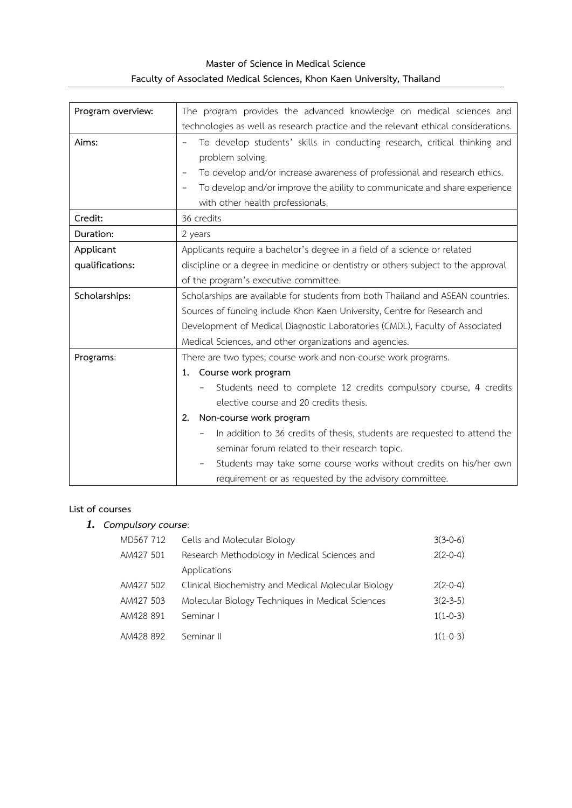## **Master of Science in Medical Science Faculty of Associated Medical Sciences, Khon Kaen University, Thailand**

| Program overview: | The program provides the advanced knowledge on medical sciences and                |  |  |  |
|-------------------|------------------------------------------------------------------------------------|--|--|--|
|                   | technologies as well as research practice and the relevant ethical considerations. |  |  |  |
| Aims:             | To develop students' skills in conducting research, critical thinking and          |  |  |  |
|                   | problem solving.                                                                   |  |  |  |
|                   | To develop and/or increase awareness of professional and research ethics.          |  |  |  |
|                   | To develop and/or improve the ability to communicate and share experience          |  |  |  |
|                   | with other health professionals.                                                   |  |  |  |
| Credit:           | 36 credits                                                                         |  |  |  |
| Duration:         | 2 years                                                                            |  |  |  |
| Applicant         | Applicants require a bachelor's degree in a field of a science or related          |  |  |  |
| qualifications:   | discipline or a degree in medicine or dentistry or others subject to the approval  |  |  |  |
|                   | of the program's executive committee.                                              |  |  |  |
| Scholarships:     | Scholarships are available for students from both Thailand and ASEAN countries.    |  |  |  |
|                   | Sources of funding include Khon Kaen University, Centre for Research and           |  |  |  |
|                   | Development of Medical Diagnostic Laboratories (CMDL), Faculty of Associated       |  |  |  |
|                   | Medical Sciences, and other organizations and agencies.                            |  |  |  |
| Programs:         | There are two types; course work and non-course work programs.                     |  |  |  |
|                   | 1. Course work program                                                             |  |  |  |
|                   | Students need to complete 12 credits compulsory course, 4 credits                  |  |  |  |
|                   | elective course and 20 credits thesis.                                             |  |  |  |
|                   | Non-course work program<br>2.                                                      |  |  |  |
|                   | In addition to 36 credits of thesis, students are requested to attend the          |  |  |  |
|                   | seminar forum related to their research topic.                                     |  |  |  |
|                   | Students may take some course works without credits on his/her own                 |  |  |  |
|                   | requirement or as requested by the advisory committee.                             |  |  |  |

## **List of courses**

# *1. Compulsory course*:

| MD567 712 | Cells and Molecular Biology                         | $3(3-0-6)$ |
|-----------|-----------------------------------------------------|------------|
| AM427 501 | Research Methodology in Medical Sciences and        | $2(2-0-4)$ |
|           | Applications                                        |            |
| AM427 502 | Clinical Biochemistry and Medical Molecular Biology | $2(2-0-4)$ |
| AM427 503 | Molecular Biology Techniques in Medical Sciences    | $3(2-3-5)$ |
| AM428 891 | Seminar I                                           | $1(1-0-3)$ |
| AM428 892 | Seminar II                                          | $1(1-0-3)$ |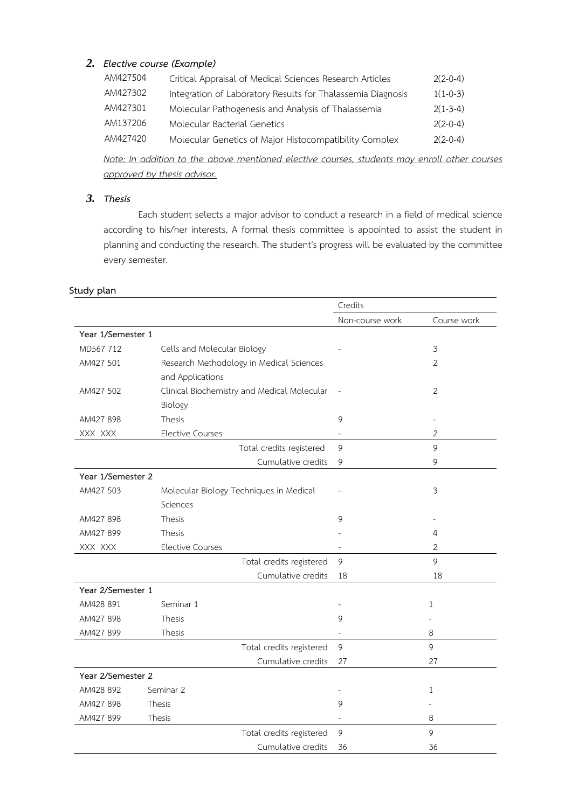## *2. Elective course (Example)*

| AM427504 | Critical Appraisal of Medical Sciences Research Articles    | $2(2-0-4)$ |
|----------|-------------------------------------------------------------|------------|
| AM427302 | Integration of Laboratory Results for Thalassemia Diagnosis | $1(1-0-3)$ |
| AM427301 | Molecular Pathogenesis and Analysis of Thalassemia          | $2(1-3-4)$ |
| AM137206 | Molecular Bacterial Genetics                                | $2(2-0-4)$ |
| AM427420 | Molecular Genetics of Major Histocompatibility Complex      | $2(2-0-4)$ |

*Note: In addition to the above mentioned elective courses, students may enroll other courses approved by thesis advisor.* 

#### *3. Thesis*

Each student selects a major advisor to conduct a research in a field of medical science according to his/her interests. A formal thesis committee is appointed to assist the student in planning and conducting the research. The student's progress will be evaluated by the committee every semester.

|                   |                                             | Credits         |                |
|-------------------|---------------------------------------------|-----------------|----------------|
|                   |                                             | Non-course work | Course work    |
| Year 1/Semester 1 |                                             |                 |                |
| MD567 712         | Cells and Molecular Biology                 |                 | 3              |
| AM427 501         | Research Methodology in Medical Sciences    |                 | $\overline{2}$ |
|                   | and Applications                            |                 |                |
| AM427 502         | Clinical Biochemistry and Medical Molecular |                 | 2              |
|                   | Biology                                     |                 |                |
| AM427 898         | <b>Thesis</b>                               | 9               |                |
| XXX XXX           | <b>Elective Courses</b>                     |                 | $\overline{2}$ |
|                   | Total credits registered                    | 9               | 9              |
|                   | Cumulative credits                          | 9               | 9              |
| Year 1/Semester 2 |                                             |                 |                |
| AM427 503         | Molecular Biology Techniques in Medical     |                 | 3              |
|                   | Sciences                                    |                 |                |
| AM427 898         | Thesis                                      | 9               |                |
| AM427 899         | <b>Thesis</b>                               |                 | 4              |
| XXX XXX           | <b>Elective Courses</b>                     |                 | $\overline{2}$ |
|                   | Total credits registered                    | 9               | 9              |
|                   | Cumulative credits                          | 18              | 18             |
| Year 2/Semester 1 |                                             |                 |                |
| AM428 891         | Seminar 1                                   | $\equiv$        | 1              |
| AM427 898         | <b>Thesis</b>                               | 9               |                |
| AM427 899         | Thesis                                      |                 | 8              |
|                   | Total credits registered                    | 9               | 9              |
|                   | Cumulative credits                          | 27              | 27             |
| Year 2/Semester 2 |                                             |                 |                |
| AM428 892         | Seminar 2                                   |                 | 1              |
| AM427 898         | <b>Thesis</b>                               | 9               |                |
| AM427 899         | Thesis                                      |                 | 8              |
|                   | Total credits registered                    | 9               | 9              |
|                   | Cumulative credits                          | 36              | 36             |

#### **Study plan**